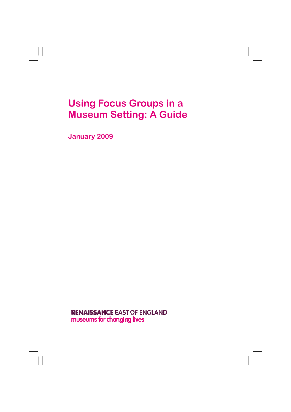# **Using Focus Groups in a Museum Setting: A Guide**

**January 2009** 

**RENAISSANCE EAST OF ENGLAND** museums for changing lives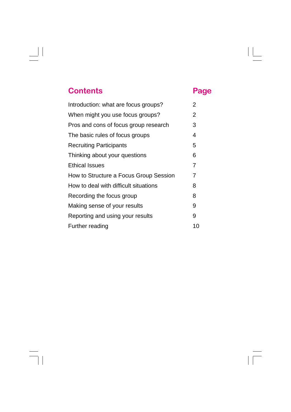## **Contents Page**

| Introduction: what are focus groups?   | $\overline{2}$ |
|----------------------------------------|----------------|
| When might you use focus groups?       | 2              |
| Pros and cons of focus group research  | 3              |
| The basic rules of focus groups        | 4              |
| <b>Recruiting Participants</b>         | 5              |
| Thinking about your questions          | 6              |
| <b>Ethical Issues</b>                  | 7              |
| How to Structure a Focus Group Session | 7              |
| How to deal with difficult situations  | 8              |
| Recording the focus group              | 8              |
| Making sense of your results           | 9              |
| Reporting and using your results       | 9              |
| Further reading                        | 10             |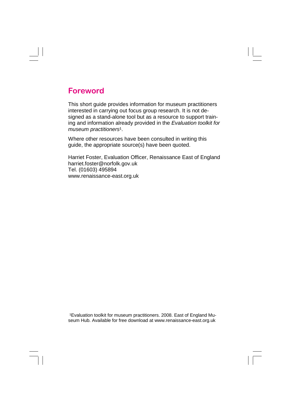## **Foreword**

This short guide provides information for museum practitioners interested in carrying out focus group research. It is not designed as a stand-alone tool but as a resource to support training and information already provided in the *Evaluation toolkit for museum practitioners<sup>1</sup>*.

Where other resources have been consulted in writing this guide, the appropriate source(s) have been quoted.

Harriet Foster, Evaluation Officer, Renaissance East of England harriet.foster@norfolk.gov.uk Tel. (01603) 495894 www.renaissance-east.org.uk

<sup>1</sup>Evaluation toolkit for museum practitioners. 2008. East of England Museum Hub. Available for free download at www.renaissance-east.org.uk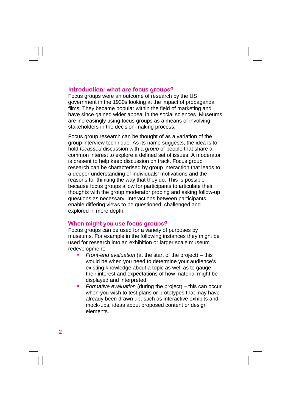#### **Introduction: what are focus groups?**

Focus groups were an outcome of research by the US government in the 1930s looking at the impact of propaganda films. They became popular within the field of marketing and have since gained wider appeal in the social sciences. Museums are increasingly using focus groups as a means of involving stakeholders in the decision-making process.

Focus group research can be thought of as a variation of the group interview technique. As its name suggests, the idea is to hold *focussed* discussion with a *group* of people that share a common interest to explore a defined set of issues. A moderator is present to help keep discussion on track. Focus group research can be characterised by group interaction that leads to a deeper understanding of individuals' motivations and the reasons for thinking the way that they do. This is possible because focus groups allow for participants to articulate their thoughts with the group moderator probing and asking follow-up questions as necessary. Interactions between participants enable differing views to be questioned, challenged and explored in more depth.

#### **When might you use focus groups?**

Focus groups can be used for a variety of purposes by museums. For example in the following instances they might be used for research into an exhibition or larger scale museum redevelopment:

- *Front-end evaluation* (at the start of the project) this would be when you need to determine your audience's existing knowledge about a topic as well as to gauge their interest and expectations of how material might be displayed and interpreted.
- *Formative evaluation* (during the project) this can occur when you wish to test plans or prototypes that may have already been drawn up, such as interactive exhibits and mock-ups, ideas about proposed content or design elements.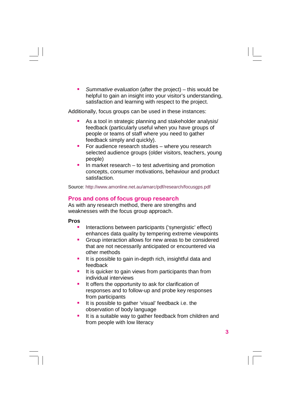*Summative evaluation* (after the project) – this would be helpful to gain an insight into your visitor's understanding, satisfaction and learning with respect to the project.

Additionally, focus groups can be used in these instances:

- As a tool in strategic planning and stakeholder analysis/ feedback (particularly useful when you have groups of people or teams of staff where you need to gather feedback simply and quickly).
- For audience research studies  $-$  where you research selected audience groups (older visitors, teachers, young people)
- In market research  $-$  to test advertising and promotion concepts, consumer motivations, behaviour and product satisfaction.

Source: http://www.amonline.net.au/amarc/pdf/research/focusgps.pdf

#### **Pros and cons of focus group research**

As with any research method, there are strengths and weaknesses with the focus group approach.

#### **Pros**

- Interactions between participants ('synergistic' effect) enhances data quality by tempering extreme viewpoints
- **Group interaction allows for new areas to be considered** that are not necessarily anticipated or encountered via other methods
- It is possible to gain in-depth rich, insightful data and feedback
- It is quicker to gain views from participants than from individual interviews
- **If offers the opportunity to ask for clarification of** responses and to follow-up and probe key responses from participants
- If it is possible to gather 'visual' feedback i.e. the observation of body language
- It is a suitable way to gather feedback from children and from people with low literacy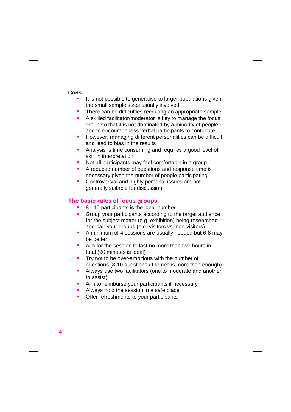#### **Cons**

- It is not possible to generalise to larger populations given the small sample sizes usually involved
- **There can be difficulties recruiting an appropriate sample**
- A skilled facilitator/moderator is key to manage the focus group so that it is not dominated by a minority of people and to encourage less verbal participants to contribute
- **However, managing different personalities can be difficult** and lead to bias in the results
- **Analysis is time consuming and requires a good level of** skill in interpretation
- Not all participants may feel comfortable in a group
- A reduced number of questions and response time is necessary given the number of people participating
- **Controversial and highly personal issues are not** generally suitable for discussion

#### **The basic rules of focus groups**

- 8 10 participants is the ideal number
- Group your participants according to the target audience for the subject matter (e.g. exhibition) being researched and pair your groups (e.g. visitors vs. non-visitors)
- A minimum of 4 sessions are usually needed but 6-8 may be better
- **E** Aim for the session to last no more than two hours in total (90 minutes is ideal)
- **Try not to be over-ambitious with the number of** questions (8-10 questions / themes is more than enough)
- **Always use two facilitators (one to moderate and another** to assist)
- **Aim to reimburse your participants if necessary**
- **Always hold the session in a safe place**
- **•** Offer refreshments to your participants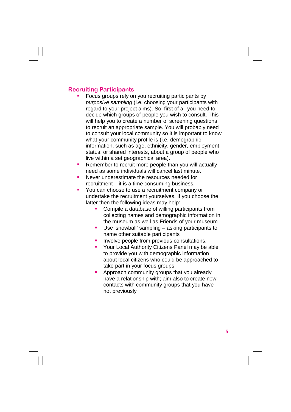#### **Recruiting Participants**

- Focus groups rely on you recruiting participants by *purposive sampling* (i.e. choosing your participants with regard to your project aims). So, first of all you need to decide which groups of people you wish to consult. This will help you to create a number of screening questions to recruit an appropriate sample. You will probably need to consult your local community so it is important to know what your community profile is (i.e. demographic information, such as age, ethnicity, gender, employment status, or shared interests, about a group of people who live within a set geographical area).
- **Remember to recruit more people than you will actually** need as some individuals will cancel last minute.
- **Never underestimate the resources needed for** recruitment – it is a time consuming business.
- **You can choose to use a recruitment company or** undertake the recruitment yourselves. If you choose the latter then the following ideas may help:
	- **Compile a database of willing participants from** collecting names and demographic information in the museum as well as Friends of your museum
	- Use 'snowball' sampling asking participants to name other suitable participants
	- Involve people from previous consultations,
	- **Your Local Authority Citizens Panel may be able** to provide you with demographic information about local citizens who could be approached to take part in your focus groups
	- **Approach community groups that you already** have a relationship with; aim also to create new contacts with community groups that you have not previously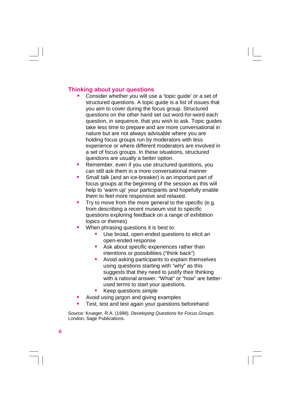#### **Thinking about your questions**

- Consider whether you will use a 'topic guide' or a set of structured questions. A topic guide is a list of issues that you aim to cover during the focus group. Structured questions on the other hand set out word-for-word each question, in sequence, that you wish to ask. Topic guides take less time to prepare and are more conversational in nature but are not always advisable where you are holding focus groups run by moderators with less experience or where different moderators are involved in a set of focus groups. In these situations, structured questions are usually a better option.
- **Remember, even if you use structured questions, you** can still ask them in a more conversational manner
- **Small talk (and an ice-breaker) is an important part of**  focus groups at the beginning of the session as this will help to 'warm up' your participants and hopefully enable them to feel more responsive and relaxed.
- $\blacksquare$  Try to move from the more general to the specific (e.g. from describing a recent museum visit to specific questions exploring feedback on a range of exhibition topics or themes)
- **When phrasing questions it is best to:** 
	- Use broad, open-ended questions to elicit an open-ended response
	- Ask about specific experiences rather than intentions or possibilities ("think back")
	- **•** Avoid asking participants to explain themselves using questions starting with "why" as this suggests that they need to justify their thinking with a rational answer. "What" or "how" are betterused terms to start your questions.
	- Keep questions simple
- **Avoid using jargon and giving examples**
- Test, test and test again your questions beforehand

Source: Krueger, R.A. (1998). *Developing Questions for Focus Groups*. London, Sage Publications.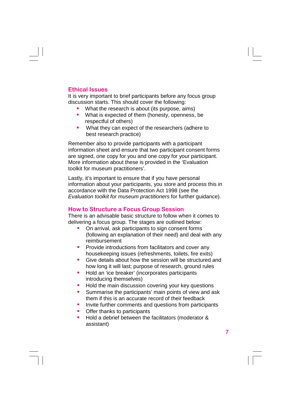#### **Ethical Issues**

It is very important to brief participants before any focus group discussion starts. This should cover the following:

- What the research is about (its purpose, aims)
- **What is expected of them (honesty, openness, be** respectful of others)
- What they can expect of the researchers (adhere to best research practice)

Remember also to provide participants with a participant information sheet and ensure that two participant consent forms are signed, one copy for you and one copy for your participant. More information about these is provided in the 'Evaluation toolkit for museum practitioners'.

Lastly, it's important to ensure that if you have personal information about your participants, you store and process this in accordance with the Data Protection Act 1998 (see the *Evaluation toolkit for museum practitioners* for further guidance).

### **How to Structure a Focus Group Session**

There is an advisable basic structure to follow when it comes to delivering a focus group. The stages are outlined below:

- On arrival, ask participants to sign consent forms (following an explanation of their need) and deal with any reimbursement
- Provide introductions from facilitators and cover any housekeeping issues (refreshments, toilets, fire exits)
- **Give details about how the session will be structured and** how long it will last; purpose of research, ground rules
- Hold an 'ice breaker' (incorporates participants introducing themselves)
- **Hold the main discussion covering your key questions**
- **Summarise the participants' main points of view and ask** them if this is an accurate record of their feedback
- **Invite further comments and questions from participants**
- Offer thanks to participants
- Hold a debrief between the facilitators (moderator & assistant)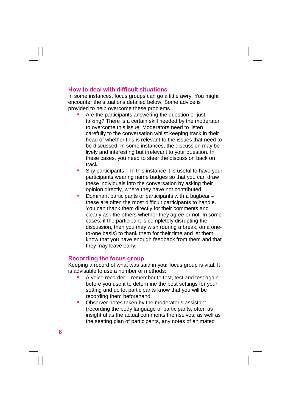#### **How to deal with difficult situations**

In some instances, focus groups can go a little awry. You might encounter the situations detailed below. Some advice is provided to help overcome these problems.

- Are the participants answering the question or just talking? There is a certain skill needed by the moderator to overcome this issue. Moderators need to listen carefully to the conversation whilst keeping track in their head of whether this is relevant to the issues that need to be discussed. In some instances, the discussion may be lively and interesting but irrelevant to your question. In these cases, you need to steer the discussion back on track.
- $\blacksquare$  Shy participants In this instance it is useful to have your participants wearing name badges so that you can draw these individuals into the conversation by asking their opinion directly, where they have not contributed.
- Dominant participants or participants with a bugbear these are often the most difficult participants to handle. You can thank them directly for their comments and clearly ask the others whether they agree or not. In some cases, if the participant is completely disrupting the discussion, then you may wish (during a break, on a oneto-one basis) to thank them for their time and let them know that you have enough feedback from them and that they may leave early.

#### **Recording the focus group**

Keeping a record of what was said in your focus group is vital. It is advisable to use a number of methods:

- A voice recorder remember to test, test and test again before you use it to determine the best settings for your setting and do let participants know that you will be recording them beforehand.
- **D** Observer notes taken by the moderator's assistant (recording the body language of participants, often as insightful as the actual comments themselves; as well as the seating plan of participants, any notes of animated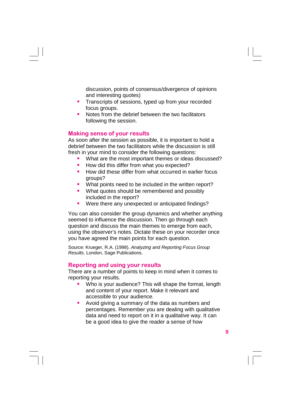discussion, points of consensus/divergence of opinions and interesting quotes)

- **Transcripts of sessions, typed up from your recorded** focus groups.
- Notes from the debrief between the two facilitators following the session.

#### **Making sense of your results**

As soon after the session as possible, it is important to hold a debrief between the two facilitators while the discussion is still fresh in your mind to consider the following questions:

- What are the most important themes or ideas discussed?
- How did this differ from what you expected?
- How did these differ from what occurred in earlier focus groups?
- **What points need to be included in the written report?**
- **What quotes should be remembered and possibly** included in the report?
- **Were there any unexpected or anticipated findings?**

You can also consider the group dynamics and whether anything seemed to influence the discussion. Then go through each question and discuss the main themes to emerge from each, using the observer's notes. Dictate these on your recorder once you have agreed the main points for each question.

Source: Krueger, R.A. (1998). *Analyzing and Reporting Focus Group Results.* London, Sage Publications.

#### **Reporting and using your results**

There are a number of points to keep in mind when it comes to reporting your results.

- Who is your audience? This will shape the format, length and content of your report. Make it relevant and accessible to your audience.
- Avoid giving a summary of the data as numbers and percentages. Remember you are dealing with qualitative data and need to report on it in a qualitative way. It can be a good idea to give the reader a sense of how